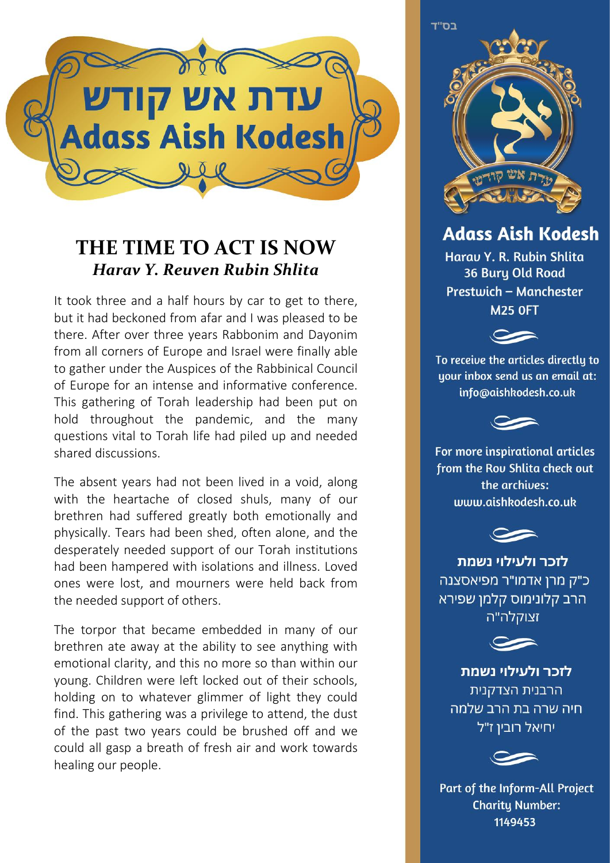

## **THE TIME TO ACT IS NOW** *Harav Y. Reuven Rubin Shlita*

It took three and a half hours by car to get to there, but it had beckoned from afar and I was pleased to be there. After over three years Rabbonim and Dayonim from all corners of Europe and Israel were finally able to gather under the Auspices of the Rabbinical Council of Europe for an intense and informative conference. This gathering of Torah leadership had been put on hold throughout the pandemic, and the many questions vital to Torah life had piled up and needed shared discussions.

The absent years had not been lived in a void, along with the heartache of closed shuls, many of our brethren had suffered greatly both emotionally and physically. Tears had been shed, often alone, and the desperately needed support of our Torah institutions had been hampered with isolations and illness. Loved ones were lost, and mourners were held back from the needed support of others.

The torpor that became embedded in many of our brethren ate away at the ability to see anything with emotional clarity, and this no more so than within our young. Children were left locked out of their schools, holding on to whatever glimmer of light they could find. This gathering was a privilege to attend, the dust of the past two years could be brushed off and we could all gasp a breath of fresh air and work towards healing our people.

בס"ד

## **Adass Aish Kodesh**

Harau Y. R. Rubin Shlita 36 Bury Old Road Prestwich - Manchester **M25 OFT** 



To receive the articles directlu to uour inbox send us an email at: info@aishkodesh.co.uk



For more inspirational articles from the Rou Shlita check out the archives: www.aishkodesh.co.uk



לזכר ולעילוי נשמת כ"ק מרן אדמו"ר מפיאסצנה הרב קלונימוס קלמן שפירא זצוקלה"ה



לזכר ולעילוי נשמת הרבנית הצדקנית חיה שרה בת הרב שלמה יחיאל רובין ז"ל



Part of the Inform-All Project **Charity Number:** 1149453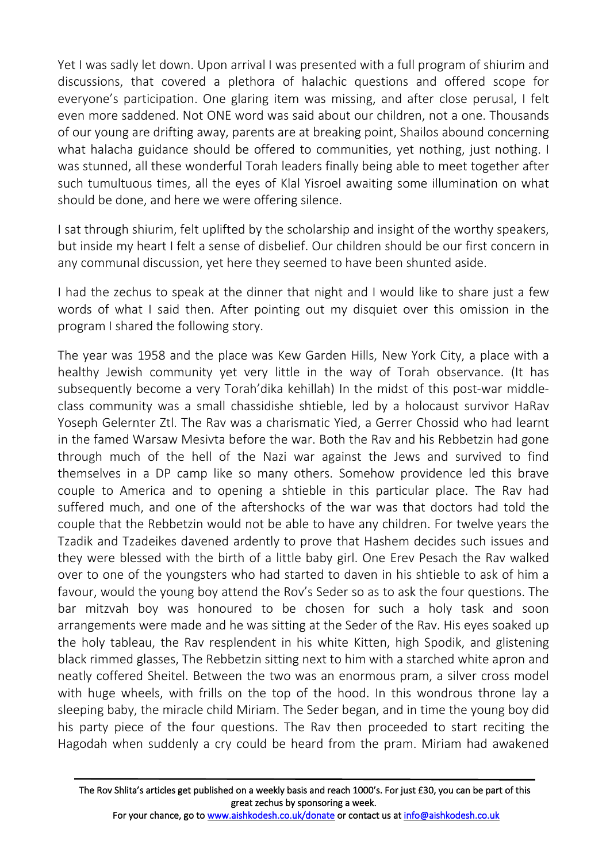Yet I was sadly let down. Upon arrival I was presented with a full program of shiurim and discussions, that covered a plethora of halachic questions and offered scope for everyone's participation. One glaring item was missing, and after close perusal, I felt even more saddened. Not ONE word was said about our children, not a one. Thousands of our young are drifting away, parents are at breaking point, Shailos abound concerning what halacha guidance should be offered to communities, yet nothing, just nothing. I was stunned, all these wonderful Torah leaders finally being able to meet together after such tumultuous times, all the eyes of Klal Yisroel awaiting some illumination on what should be done, and here we were offering silence.

I sat through shiurim, felt uplifted by the scholarship and insight of the worthy speakers, but inside my heart I felt a sense of disbelief. Our children should be our first concern in any communal discussion, yet here they seemed to have been shunted aside.

I had the zechus to speak at the dinner that night and I would like to share just a few words of what I said then. After pointing out my disquiet over this omission in the program I shared the following story.

The year was 1958 and the place was Kew Garden Hills, New York City, a place with a healthy Jewish community yet very little in the way of Torah observance. (It has subsequently become a very Torah'dika kehillah) In the midst of this post-war middleclass community was a small chassidishe shtieble, led by a holocaust survivor HaRav Yoseph Gelernter Ztl. The Rav was a charismatic Yied, a Gerrer Chossid who had learnt in the famed Warsaw Mesivta before the war. Both the Rav and his Rebbetzin had gone through much of the hell of the Nazi war against the Jews and survived to find themselves in a DP camp like so many others. Somehow providence led this brave couple to America and to opening a shtieble in this particular place. The Rav had suffered much, and one of the aftershocks of the war was that doctors had told the couple that the Rebbetzin would not be able to have any children. For twelve years the Tzadik and Tzadeikes davened ardently to prove that Hashem decides such issues and they were blessed with the birth of a little baby girl. One Erev Pesach the Rav walked over to one of the youngsters who had started to daven in his shtieble to ask of him a favour, would the young boy attend the Rov's Seder so as to ask the four questions. The bar mitzvah boy was honoured to be chosen for such a holy task and soon arrangements were made and he was sitting at the Seder of the Rav. His eyes soaked up the holy tableau, the Rav resplendent in his white Kitten, high Spodik, and glistening black rimmed glasses, The Rebbetzin sitting next to him with a starched white apron and neatly coffered Sheitel. Between the two was an enormous pram, a silver cross model with huge wheels, with frills on the top of the hood. In this wondrous throne lay a sleeping baby, the miracle child Miriam. The Seder began, and in time the young boy did his party piece of the four questions. The Rav then proceeded to start reciting the Hagodah when suddenly a cry could be heard from the pram. Miriam had awakened